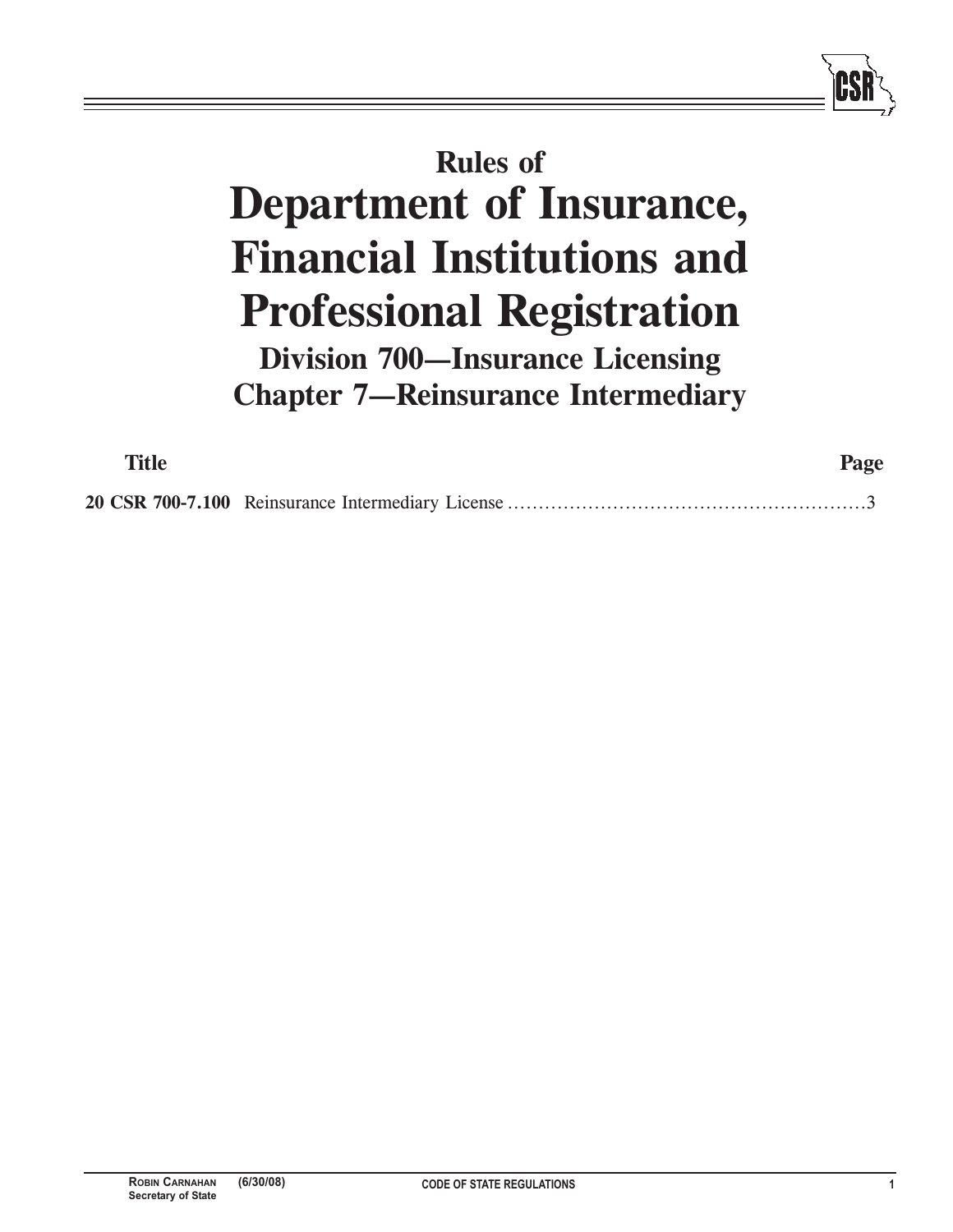## **Rules of Department of Insurance, Financial Institutions and Professional Registration Division 700—Insurance Licensing Chapter 7—Reinsurance Intermediary**

| <b>Title</b> | Page |
|--------------|------|
|              |      |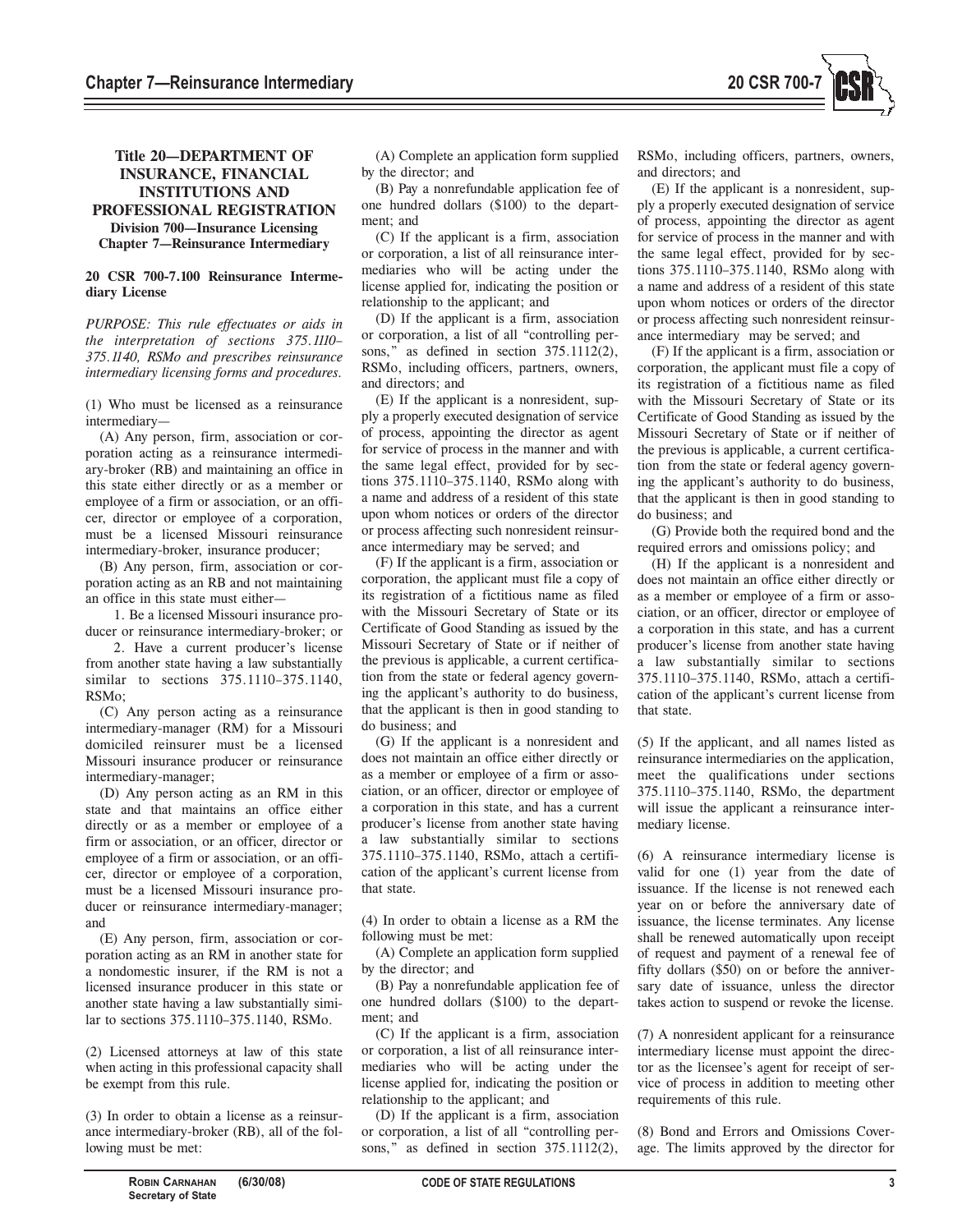

## **Title 20—DEPARTMENT OF INSURANCE, FINANCIAL INSTITUTIONS AND PROFESSIONAL REGISTRATION Division 700—Insurance Licensing Chapter 7—Reinsurance Intermediary**

## **20 CSR 700-7.100 Reinsurance Intermediary License**

*PURPOSE: This rule effectuates or aids in the interpretation of sections 375.1110– 375.1140, RSMo and prescribes reinsurance intermediary licensing forms and procedures.* 

(1) Who must be licensed as a reinsurance intermediary—

(A) Any person, firm, association or corporation acting as a reinsurance intermediary-broker (RB) and maintaining an office in this state either directly or as a member or employee of a firm or association, or an officer, director or employee of a corporation, must be a licensed Missouri reinsurance intermediary-broker, insurance producer;

(B) Any person, firm, association or corporation acting as an RB and not maintaining an office in this state must either—

1. Be a licensed Missouri insurance producer or reinsurance intermediary-broker; or

2. Have a current producer's license from another state having a law substantially similar to sections 375.1110–375.1140, RSMo;

(C) Any person acting as a reinsurance intermediary-manager (RM) for a Missouri domiciled reinsurer must be a licensed Missouri insurance producer or reinsurance intermediary-manager;

(D) Any person acting as an RM in this state and that maintains an office either directly or as a member or employee of a firm or association, or an officer, director or employee of a firm or association, or an officer, director or employee of a corporation, must be a licensed Missouri insurance producer or reinsurance intermediary-manager; and

(E) Any person, firm, association or corporation acting as an RM in another state for a nondomestic insurer, if the RM is not a licensed insurance producer in this state or another state having a law substantially similar to sections 375.1110–375.1140, RSMo.

(2) Licensed attorneys at law of this state when acting in this professional capacity shall be exempt from this rule.

(3) In order to obtain a license as a reinsurance intermediary-broker (RB), all of the following must be met:

(A) Complete an application form supplied by the director; and

(B) Pay a nonrefundable application fee of one hundred dollars (\$100) to the department; and

(C) If the applicant is a firm, association or corporation, a list of all reinsurance intermediaries who will be acting under the license applied for, indicating the position or relationship to the applicant; and

(D) If the applicant is a firm, association or corporation, a list of all "controlling persons," as defined in section 375.1112(2), RSMo, including officers, partners, owners, and directors; and

(E) If the applicant is a nonresident, supply a properly executed designation of service of process, appointing the director as agent for service of process in the manner and with the same legal effect, provided for by sections 375.1110–375.1140, RSMo along with a name and address of a resident of this state upon whom notices or orders of the director or process affecting such nonresident reinsurance intermediary may be served; and

(F) If the applicant is a firm, association or corporation, the applicant must file a copy of its registration of a fictitious name as filed with the Missouri Secretary of State or its Certificate of Good Standing as issued by the Missouri Secretary of State or if neither of the previous is applicable, a current certification from the state or federal agency governing the applicant's authority to do business, that the applicant is then in good standing to do business; and

(G) If the applicant is a nonresident and does not maintain an office either directly or as a member or employee of a firm or association, or an officer, director or employee of a corporation in this state, and has a current producer's license from another state having a law substantially similar to sections 375.1110–375.1140, RSMo, attach a certification of the applicant's current license from that state.

(4) In order to obtain a license as a RM the following must be met:

(A) Complete an application form supplied by the director; and

(B) Pay a nonrefundable application fee of one hundred dollars (\$100) to the department; and

(C) If the applicant is a firm, association or corporation, a list of all reinsurance intermediaries who will be acting under the license applied for, indicating the position or relationship to the applicant; and

(D) If the applicant is a firm, association or corporation, a list of all "controlling persons," as defined in section 375.1112(2), RSMo, including officers, partners, owners, and directors; and

(E) If the applicant is a nonresident, supply a properly executed designation of service of process, appointing the director as agent for service of process in the manner and with the same legal effect, provided for by sections 375.1110–375.1140, RSMo along with a name and address of a resident of this state upon whom notices or orders of the director or process affecting such nonresident reinsurance intermediary may be served; and

(F) If the applicant is a firm, association or corporation, the applicant must file a copy of its registration of a fictitious name as filed with the Missouri Secretary of State or its Certificate of Good Standing as issued by the Missouri Secretary of State or if neither of the previous is applicable, a current certification from the state or federal agency governing the applicant's authority to do business, that the applicant is then in good standing to do business; and

(G) Provide both the required bond and the required errors and omissions policy; and

(H) If the applicant is a nonresident and does not maintain an office either directly or as a member or employee of a firm or association, or an officer, director or employee of a corporation in this state, and has a current producer's license from another state having a law substantially similar to sections 375.1110–375.1140, RSMo, attach a certification of the applicant's current license from that state.

(5) If the applicant, and all names listed as reinsurance intermediaries on the application, meet the qualifications under sections 375.1110–375.1140, RSMo, the department will issue the applicant a reinsurance intermediary license.

(6) A reinsurance intermediary license is valid for one (1) year from the date of issuance. If the license is not renewed each year on or before the anniversary date of issuance, the license terminates. Any license shall be renewed automatically upon receipt of request and payment of a renewal fee of fifty dollars (\$50) on or before the anniversary date of issuance, unless the director takes action to suspend or revoke the license.

(7) A nonresident applicant for a reinsurance intermediary license must appoint the director as the licensee's agent for receipt of service of process in addition to meeting other requirements of this rule.

(8) Bond and Errors and Omissions Coverage. The limits approved by the director for